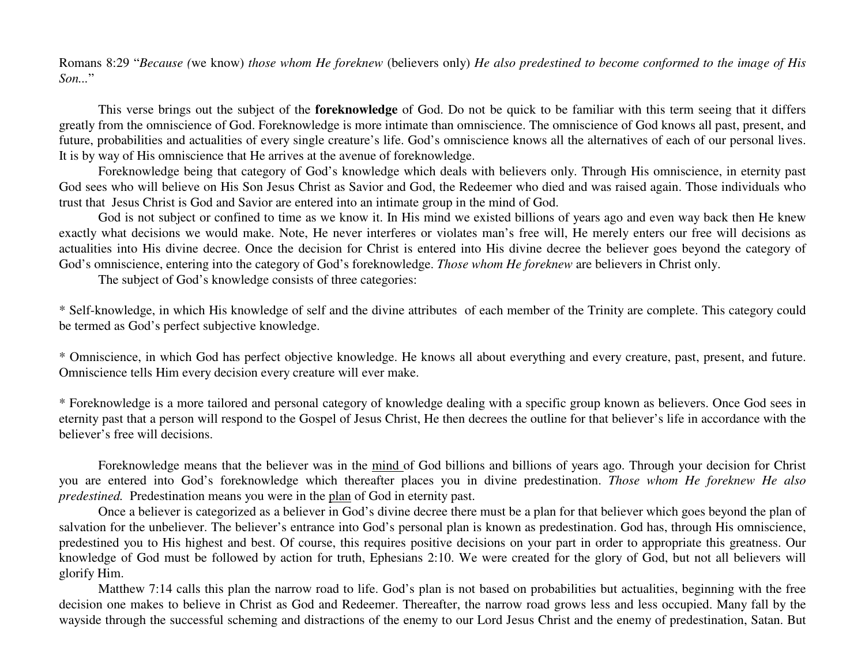Romans 8:29 "Because (we know) those whom He foreknew (believers only) He also predestined to become conformed to the image of His *Son...*"

This verse brings out the subject of the **foreknowledge** of God. Do not be quick to be familiar with this term seeing that it differs greatly from the omniscience of God. Foreknowledge is more intimate than omniscience. The omniscience of God knows all past, present, and future, probabilities and actualities of every single creature's life. God's omniscience knows all the alternatives of each of our personal lives. It is by way of His omniscience that He arrives at the avenue of foreknowledge.

Foreknowledge being that category of God's knowledge which deals with believers only. Through His omniscience, in eternity pas<sup>t</sup> God sees who will believe on His Son Jesus Christ as Savior and God, the Redeemer who died and was raised again. Those individuals who trust that Jesus Christ is God and Savior are entered into an intimate group in the mind of God.

God is not subject or confined to time as we know it. In His mind we existed billions of years ago and even way back then He knew exactly what decisions we would make. Note, He never interferes or violates man's free will, He merely enters our free will decisions as actualities into His divine decree. Once the decision for Christ is entered into His divine decree the believer goes beyond the category of God's omniscience, entering into the category of God's foreknowledge. *Those whom He foreknew* are believers in Christ only.

The subject of God's knowledge consists of three categories:

\* Self-knowledge, in which His knowledge of self and the divine attributes of each member of the Trinity are complete. This category could be termed as God's perfect subjective knowledge.

\* Omniscience, in which God has perfect objective knowledge. He knows all about everything and every creature, past, present, and future. Omniscience tells Him every decision every creature will ever make.

\* Foreknowledge is <sup>a</sup> more tailored and personal category of knowledge dealing with <sup>a</sup> specific group known as believers. Once God sees in eternity pas<sup>t</sup> that <sup>a</sup> person will respond to the Gospel of Jesus Christ, He then decrees the outline for that believer's life in accordance with the believer's free will decisions.

Foreknowledge means that the believer was in the mind of God billions and billions of years ago. Through your decision for Christ you are entered into God's foreknowledge which thereafter places you in divine predestination. *Those whom He foreknew He also predestined.* Predestination means you were in the plan of God in eternity past.

Once <sup>a</sup> believer is categorized as <sup>a</sup> believer in God's divine decree there must be <sup>a</sup> plan for that believer which goes beyond the plan of salvation for the unbeliever. The believer's entrance into God's personal plan is known as predestination. God has, through His omniscience, predestined you to His highest and best. Of course, this requires positive decisions on your par<sup>t</sup> in order to appropriate this greatness. Our knowledge of God must be followed by action for truth, Ephesians 2:10. We were created for the glory of God, but not all believers will glorify Him.

Matthew 7:14 calls this plan the narrow road to life. God's plan is not based on probabilities but actualities, beginning with the free decision one makes to believe in Christ as God and Redeemer. Thereafter, the narrow road grows less and less occupied. Many fall by the wayside through the successful scheming and distractions of the enemy to our Lord Jesus Christ and the enemy of predestination, Satan. But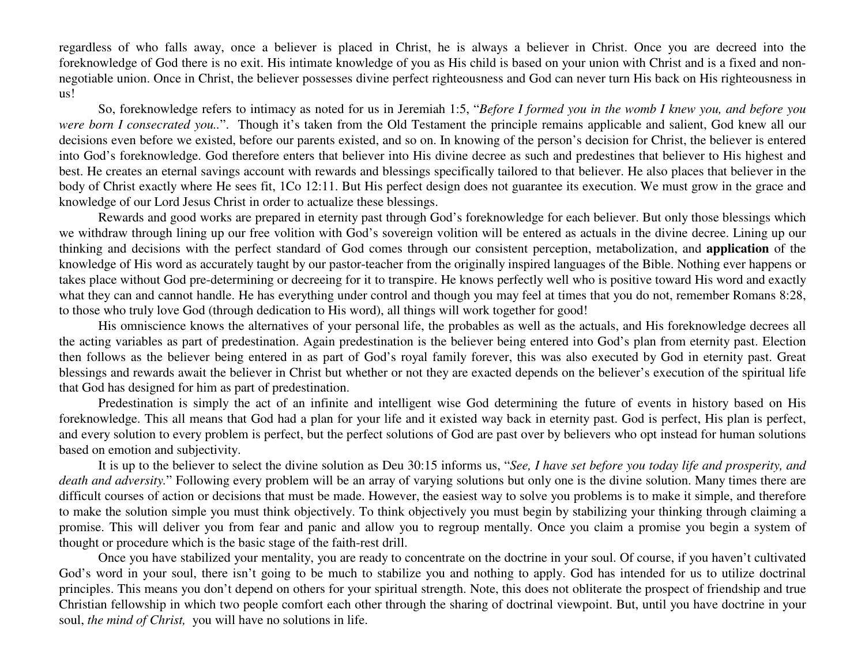regardless of who falls away, once <sup>a</sup> believer is placed in Christ, he is always <sup>a</sup> believer in Christ. Once you are decreed into the foreknowledge of God there is no exit. His intimate knowledge of you as His child is based on your union with Christ and is <sup>a</sup> fixed and nonnegotiable union. Once in Christ, the believer possesses divine perfect righteousness and God can never turn His back on His righteousness in us!

So, foreknowledge refers to intimacy as noted for us in Jeremiah 1:5, "*Before I formed you in the womb I knew you, and before you were born I consecrated you..*". Though it's taken from the Old Testament the principle remains applicable and salient, God knew all our decisions even before we existed, before our parents existed, and so on. In knowing of the person's decision for Christ, the believer is entered into God's foreknowledge. God therefore enters that believer into His divine decree as such and predestines that believer to His highest and best. He creates an eternal savings account with rewards and blessings specifically tailored to that believer. He also places that believer in the body of Christ exactly where He sees fit, 1Co 12:11. But His perfect design does not guarantee its execution. We must grow in the grace and knowledge of our Lord Jesus Christ in order to actualize these blessings.

Rewards and good works are prepared in eternity pas<sup>t</sup> through God's foreknowledge for each believer. But only those blessings which we withdraw through lining up our free volition with God's sovereign volition will be entered as actuals in the divine decree. Lining up our thinking and decisions with the perfect standard of God comes through our consistent perception, metabolization, and **application** of the knowledge of His word as accurately taught by our pastor-teacher from the originally inspired languages of the Bible. Nothing ever happens or takes place without God pre-determining or decreeing for it to transpire. He knows perfectly well who is positive toward His word and exactly what they can and cannot handle. He has everything under control and though you may feel at times that you do not, remember Romans 8:28, to those who truly love God (through dedication to His word), all things will work together for good!

His omniscience knows the alternatives of your personal life, the probables as well as the actuals, and His foreknowledge decrees all the acting variables as par<sup>t</sup> of predestination. Again predestination is the believer being entered into God's plan from eternity past. Election then follows as the believer being entered in as par<sup>t</sup> of God's royal family forever, this was also executed by God in eternity past. Great blessings and rewards await the believer in Christ but whether or not they are exacted depends on the believer's execution of the spiritual life that God has designed for him as par<sup>t</sup> of predestination.

Predestination is simply the act of an infinite and intelligent wise God determining the future of events in history based on His foreknowledge. This all means that God had <sup>a</sup> plan for your life and it existed way back in eternity past. God is perfect, His plan is perfect, and every solution to every problem is perfect, but the perfect solutions of God are pas<sup>t</sup> over by believers who op<sup>t</sup> instead for human solutions based on emotion and subjectivity.

It is up to the believer to select the divine solution as Deu 30:15 informs us, "*See, I have set before you today life and prosperity, and death and adversity.*" Following every problem will be an array of varying solutions but only one is the divine solution. Many times there are difficult courses of action or decisions that must be made. However, the easiest way to solve you problems is to make it simple, and therefore to make the solution simple you must think objectively. To think objectively you must begin by stabilizing your thinking through claiming <sup>a</sup> promise. This will deliver you from fear and panic and allow you to regroup mentally. Once you claim <sup>a</sup> promise you begin <sup>a</sup> system of thought or procedure which is the basic stage of the faith-rest drill.

Once you have stabilized your mentality, you are ready to concentrate on the doctrine in your soul. Of course, if you haven't cultivated God's word in your soul, there isn't going to be much to stabilize you and nothing to apply. God has intended for us to utilize doctrinal principles. This means you don't depend on others for your spiritual strength. Note, this does not obliterate the prospec<sup>t</sup> of friendship and true Christian fellowship in which two people comfort each other through the sharing of doctrinal viewpoint. But, until you have doctrine in your soul, *the mind of Christ,* you will have no solutions in life.